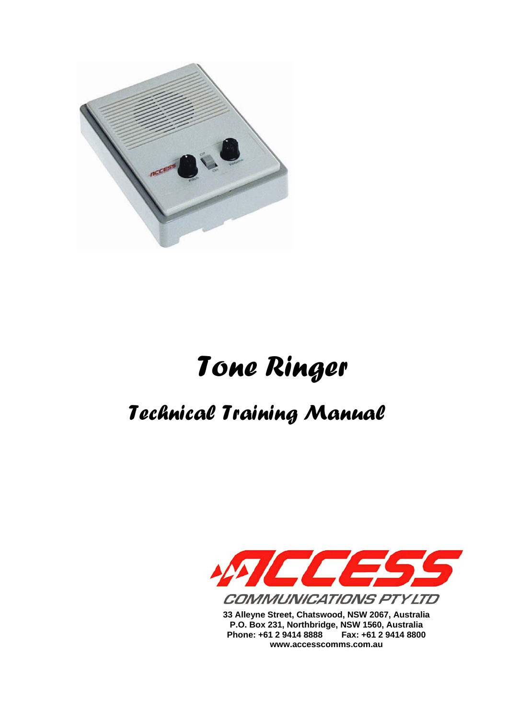

# *Tone Ringer*

## *Technical Training Manual*



**33 Alleyne Street, Chatswood, NSW 2067, Australia P.O. Box 231, Northbridge, NSW 1560, Australia Phone: +61 2 9414 8888 Fax: +61 2 9414 8800 www.accesscomms.com.au**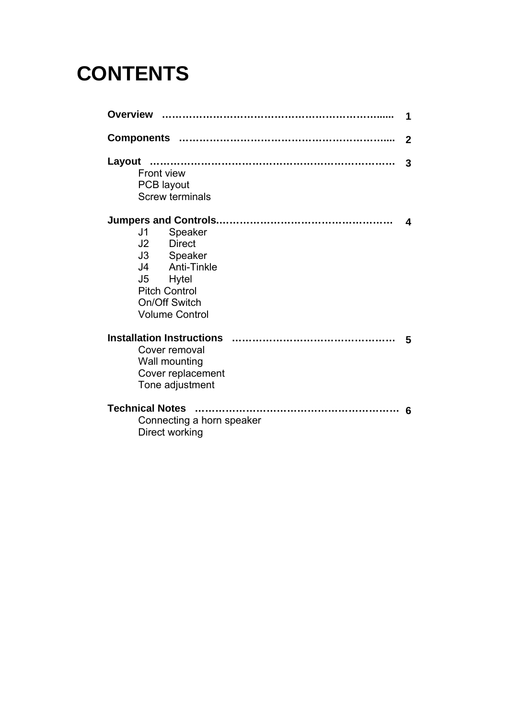## **CONTENTS**

|                                                                                                                                                         | 1            |
|---------------------------------------------------------------------------------------------------------------------------------------------------------|--------------|
|                                                                                                                                                         | $\mathbf{2}$ |
| Layout<br>Front view<br><b>PCB</b> layout<br><b>Screw terminals</b>                                                                                     | 3            |
| Speaker<br>J1<br>J <sub>2</sub> Direct<br>J3 Speaker<br>J4 Anti-Tinkle<br>J5<br>Hytel<br><b>Pitch Control</b><br>On/Off Switch<br><b>Volume Control</b> |              |
| Cover removal<br>Wall mounting<br>Cover replacement<br>Tone adjustment                                                                                  | 5            |
| <b>Technical Notes</b><br>Connecting a horn speaker<br>Direct working                                                                                   | - 6          |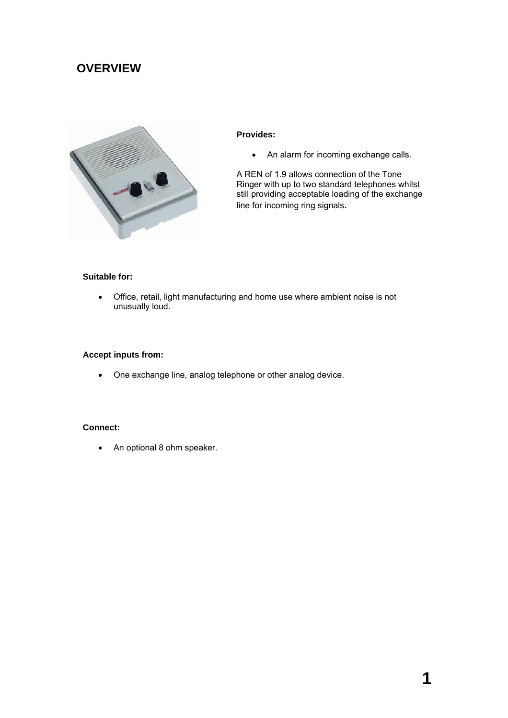## **OVERVIEW**



#### **Provides:**

• An alarm for incoming exchange calls.

A REN of 1.9 allows connection of the Tone Ringer with up to two standard telephones whilst still providing acceptable loading of the exchange line for incoming ring signals.

## **Suitable for:**

• Office, retail, light manufacturing and home use where ambient noise is not unusually loud.

#### **Accept inputs from:**

• One exchange line, analog telephone or other analog device.

### **Connect:**

• An optional 8 ohm speaker.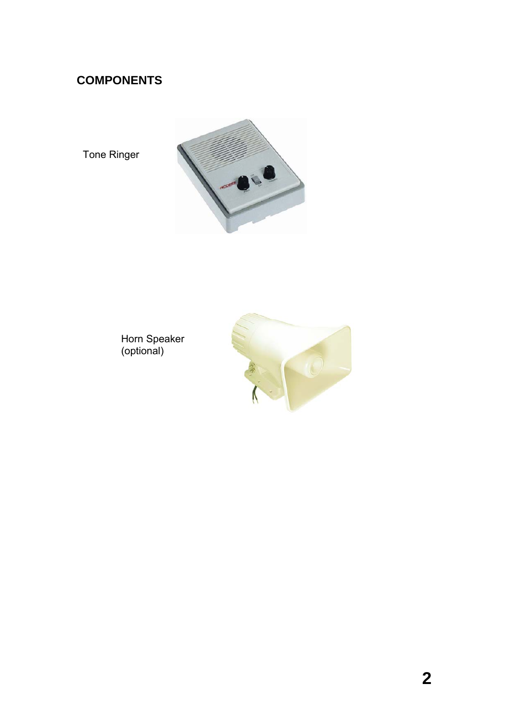## **COMPONENTS**

Tone Ringer



Horn Speaker (optional)

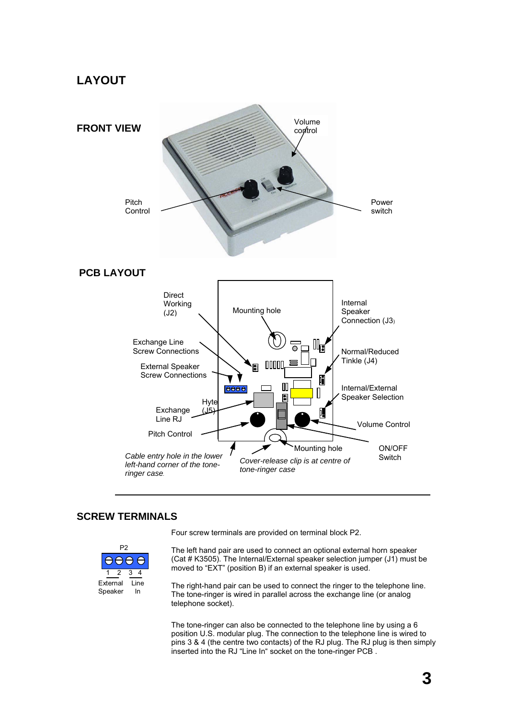## **LAYOUT**



## **SCREW TERMINALS**



Four screw terminals are provided on terminal block P2.

The left hand pair are used to connect an optional external horn speaker (Cat # K3505). The Internal/External speaker selection jumper (J1) must be moved to "EXT" (position B) if an external speaker is used.

The right-hand pair can be used to connect the ringer to the telephone line. The tone-ringer is wired in parallel across the exchange line (or analog telephone socket).

The tone-ringer can also be connected to the telephone line by using a 6 position U.S. modular plug. The connection to the telephone line is wired to pins 3 & 4 (the centre two contacts) of the RJ plug. The RJ plug is then simply inserted into the RJ "Line In" socket on the tone-ringer PCB .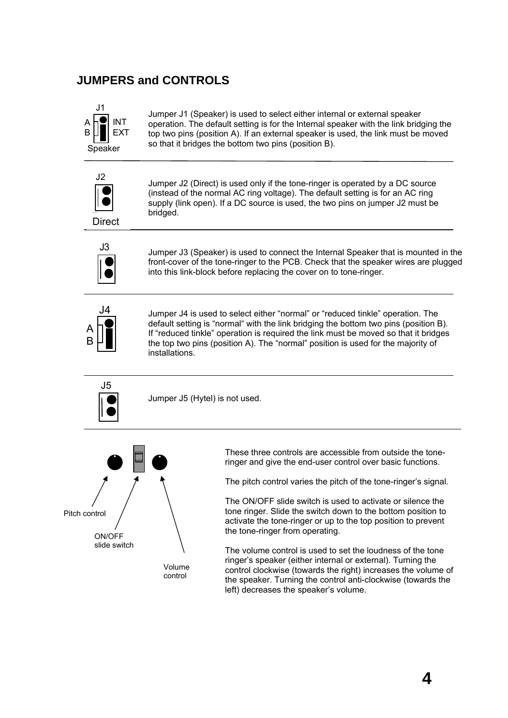## **JUMPERS and CONTROLS**



Jumper J1 (Speaker) is used to select either internal or external speaker operation. The default setting is for the Internal speaker with the link bridging the top two pins (position A). If an external speaker is used, the link must be moved so that it bridges the bottom two pins (position B).



Jumper J2 (Direct) is used only if the tone-ringer is operated by a DC source (instead of the normal AC ring voltage). The default setting is for an AC ring supply (link open). If a DC source is used, the two pins on jumper J2 must be bridged.



Jumper J3 (Speaker) is used to connect the Internal Speaker that is mounted in the front-cover of the tone-ringer to the PCB. Check that the speaker wires are plugged into this link-block before replacing the cover on to tone-ringer.



Jumper J4 is used to select either "normal" or "reduced tinkle" operation. The default setting is "normal" with the link bridging the bottom two pins (position B). If "reduced tinkle" operation is required the link must be moved so that it bridges the top two pins (position A). The "normal" position is used for the majority of installations.



Jumper J5 (Hytel) is not used.



These three controls are accessible from outside the toneringer and give the end-user control over basic functions.

The pitch control varies the pitch of the tone-ringer's signal.

The ON/OFF slide switch is used to activate or silence the tone ringer. Slide the switch down to the bottom position to activate the tone-ringer or up to the top position to prevent the tone-ringer from operating.

The volume control is used to set the loudness of the tone ringer's speaker (either internal or external). Turning the control clockwise (towards the right) increases the volume of the speaker. Turning the control anti-clockwise (towards the left) decreases the speaker's volume.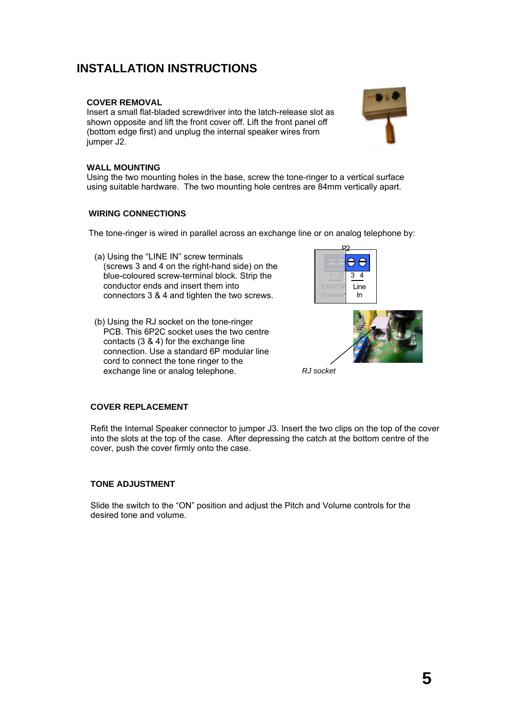## **INSTALLATION INSTRUCTIONS**

### **COVER REMOVAL**

Insert a small flat-bladed screwdriver into the latch-release slot as shown opposite and lift the front cover off. Lift the front panel off (bottom edge first) and unplug the internal speaker wires from jumper J<sub>2</sub>.

## **WALL MOUNTING**

Using the two mounting holes in the base, screw the tone-ringer to a vertical surface using suitable hardware. The two mounting hole centres are 84mm vertically apart.

### **WIRING CONNECTIONS**

The tone-ringer is wired in parallel across an exchange line or on analog telephone by:

- (a) Using the "LINE IN" screw terminals (screws 3 and 4 on the right-hand side) on the blue-coloured screw-terminal block. Strip the conductor ends and insert them into connectors 3 & 4 and tighten the two screws.
- (b) Using the RJ socket on the tone-ringer PCB. This 6P2C socket uses the two centre contacts (3 & 4) for the exchange line connection. Use a standard 6P modular line cord to connect the tone ringer to the exchange line or analog telephone. *RJ socket*





### **COVER REPLACEMENT**

Refit the Internal Speaker connector to jumper J3. Insert the two clips on the top of the cover into the slots at the top of the case. After depressing the catch at the bottom centre of the cover, push the cover firmly onto the case.

### **TONE ADJUSTMENT**

Slide the switch to the "ON" position and adjust the Pitch and Volume controls for the desired tone and volume.